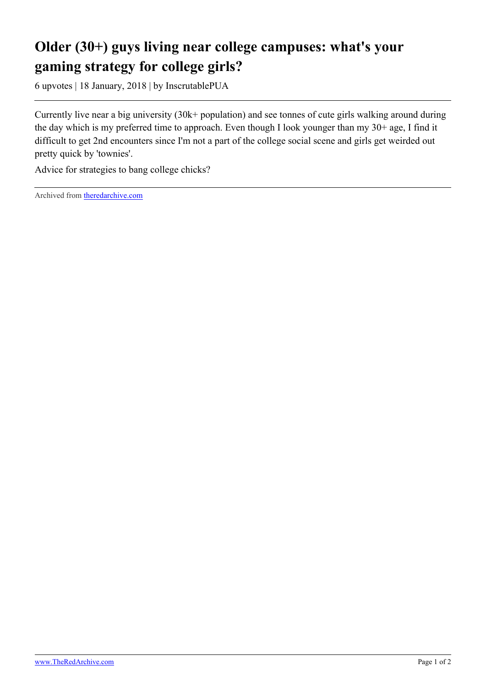## **Older (30+) guys living near college campuses: what's your gaming strategy for college girls?**

6 upvotes | 18 January, 2018 | by InscrutablePUA

Currently live near a big university (30k+ population) and see tonnes of cute girls walking around during the day which is my preferred time to approach. Even though I look younger than my 30+ age, I find it difficult to get 2nd encounters since I'm not a part of the college social scene and girls get weirded out pretty quick by 'townies'.

Advice for strategies to bang college chicks?

Archived from [theredarchive.com](https://theredarchive.com/r/askTRP/older-30-guys-living-near-college-campuses-whats.122242)